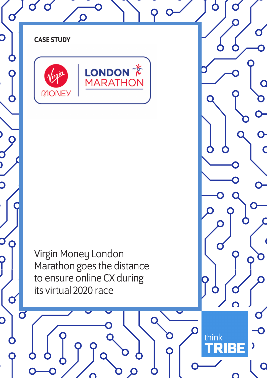

 $\bigcirc$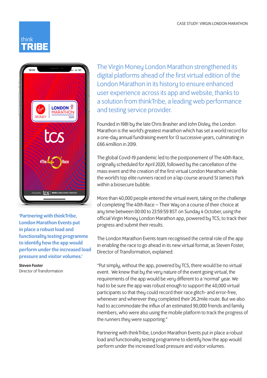



'Partnering with thinkTribe, London Marathon Events put in place a robust load and functionality testing programme to identify how the app would perform under the increased load pressure and visitor volumes.'

Steven Foster Director of Transformation The Virgin Money London Marathon strengthened its digital platforms ahead of the first virtual edition of the London Marathon in its history to ensure enhanced user experience across its app and website, thanks to a solution from thinkTribe, a leading web performance and testing service provider.

Founded in 1981 by the late Chris Brasher and John Disley, the London Marathon is the world's greatest marathon which has set a world record for a one-day annual fundraising event for 13 successive years, culminating in £66.4million in 2019.

The global Covid-19 pandemic led to the postponement of The 40th Race, originally scheduled for April 2020, followed by the cancellation of the mass event and the creation of the first virtual London Marathon while the world's top elite runners raced on a lap course around St James's Park within a biosecure bubble.

More than 40,000 people entered the virtual event, taking on the challenge of completing The 40th Race – Their Way on a course of their choice at any time between 00:00 to 23:59:59 BST on Sunday 4 October, using the official Virgin Money London Marathon app, powered by TCS, to track their progress and submit their results.

The London Marathon Events team recognised the central role of the app in enabling the race to go ahead in its new virtual format, as Steven Foster, Director of Transformation, explained:

"Put simply, without the app, powered by TCS, there would be no virtual event. We knew that by the very nature of the event going virtual, the requirements of the app would be very different to a 'normal' year. We had to be sure the app was robust enough to support the 40,000 virtual participants so that they could record their race glitch- and error-free, whenever and wherever they completed their 26.2mile route. But we also had to accommodate the influx of an estimated 90,000 friends and family members, who were also using the mobile platform to track the progress of the runners they were supporting."

Partnering with thinkTribe, London Marathon Events put in place a robust load and functionality testing programme to identify how the app would perform under the increased load pressure and visitor volumes.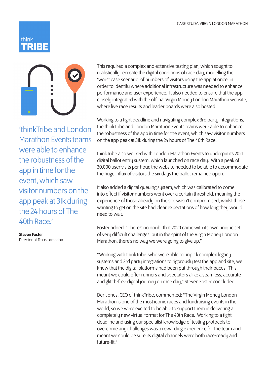## think



'thinkTribe and London Marathon Events teams were able to enhance the robustness of the app in time for the event, which saw visitor numbers on the app peak at 31k during the 24 hours of The 40th Race.'

Steven Foster Director of Transformation This required a complex and extensive testing plan, which sought to realistically recreate the digital conditions of race day, modelling the 'worst case scenario' of numbers of visitors using the app at once, in order to identify where additional infrastructure was needed to enhance performance and user experience. It also needed to ensure that the app closely integrated with the official Virgin Money London Marathon website, where live race results and leader boards were also hosted.

Working to a tight deadline and navigating complex 3rd party integrations, the thinkTribe and London Marathon Events teams were able to enhance the robustness of the app in time for the event, which saw visitor numbers on the app peak at 31k during the 24 hours of The 40th Race.

thinkTribe also worked with London Marathon Events to underpin its 2021 digital ballot entry system, which launched on race day. With a peak of 30,000 user visits per hour, the website needed to be able to accommodate the huge influx of visitors the six days the ballot remained open.

It also added a digital queuing system, which was calibrated to come into effect if visitor numbers went over a certain threshold, meaning the experience of those already on the site wasn't compromised, whilst those wanting to get on the site had clear expectations of how long they would need to wait.

Foster added: "There's no doubt that 2020 came with its own unique set of very difficult challenges, but in the spirit of the Virgin Money London Marathon, there's no way we were going to give up."

"Working with thinkTribe, who were able to unpick complex legacy systems and 3rd party integrations to rigorously test the app and site, we knew that the digital platforms had been put through their paces. This meant we could offer runners and spectators alike a seamless, accurate and glitch-free digital journey on race day," Steven Foster concluded.

Deri Jones, CEO of thinkTribe, commented: "The Virgin Money London Marathon is one of the most iconic races and fundraising events in the world, so we were excited to be able to support them in delivering a completely new virtual format for The 40th Race. Working to a tight deadline and using our specialist knowledge of testing protocols to overcome any challenges was a rewarding experience for the team and meant we could be sure its digital channels were both race-ready and future-fit."